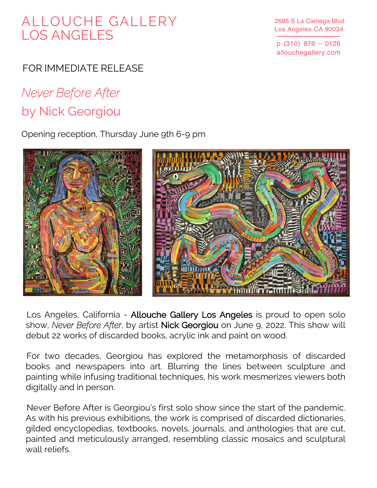## ALLOUCHE GALLERY LOS ANGELES

2685 S La Cienega Blvd Los Angeles CA 90034

p (310) 876 – 0126 allouchegallery.com

## FOR IMMEDIATE RELEASE

## *Never Before After* by Nick Georgiou

Opening reception, Thursday June 9th 6-9 pm



Los Angeles, California - Allouche Gallery Los Angeles is proud to open solo show, *Never Before After*, by artist Nick Georgiou on June 9, 2022. This show will debut 22 works of discarded books, acrylic ink and paint on wood.

For two decades, Georgiou has explored the metamorphosis of discarded books and newspapers into art. Blurring the lines between sculpture and painting while infusing traditional techniques, his work mesmerizes viewers both digitally and in person.

Never Before After is Georgiou's first solo show since the start of the pandemic. As with his previous exhibitions, the work is comprised of discarded dictionaries, gilded encyclopedias, textbooks, novels, journals, and anthologies that are cut, painted and meticulously arranged, resembling classic mosaics and sculptural wall reliefs.